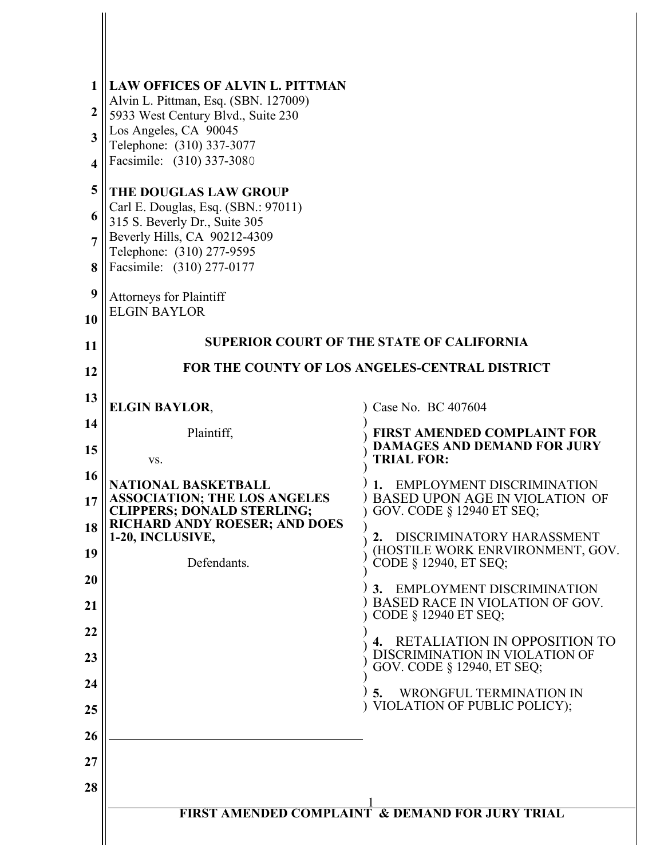| $\mathbf{1}$ | <b>LAW OFFICES OF ALVIN L. PITTMAN</b><br>Alvin L. Pittman, Esq. (SBN. 127009)                                                                                 |                                                                    |  |  |
|--------------|----------------------------------------------------------------------------------------------------------------------------------------------------------------|--------------------------------------------------------------------|--|--|
| 2            | 5933 West Century Blvd., Suite 230                                                                                                                             |                                                                    |  |  |
| 3            | Los Angeles, CA 90045<br>Telephone: (310) 337-3077<br>Facsimile: (310) 337-3080                                                                                |                                                                    |  |  |
| 4            |                                                                                                                                                                |                                                                    |  |  |
| 5            | <b>THE DOUGLAS LAW GROUP</b>                                                                                                                                   |                                                                    |  |  |
| 6            | Carl E. Douglas, Esq. (SBN.: 97011)<br>315 S. Beverly Dr., Suite 305<br>Beverly Hills, CA 90212-4309<br>Telephone: (310) 277-9595<br>Facsimile: (310) 277-0177 |                                                                    |  |  |
| 7            |                                                                                                                                                                |                                                                    |  |  |
| 8            |                                                                                                                                                                |                                                                    |  |  |
| 9            | <b>Attorneys for Plaintiff</b>                                                                                                                                 |                                                                    |  |  |
| 10           | <b>ELGIN BAYLOR</b>                                                                                                                                            |                                                                    |  |  |
| 11           |                                                                                                                                                                | <b>SUPERIOR COURT OF THE STATE OF CALIFORNIA</b>                   |  |  |
| 12           | FOR THE COUNTY OF LOS ANGELES-CENTRAL DISTRICT                                                                                                                 |                                                                    |  |  |
| 13           | <b>ELGIN BAYLOR,</b>                                                                                                                                           | Case No. BC 407604                                                 |  |  |
| 14           | Plaintiff,                                                                                                                                                     | <b>FIRST AMENDED COMPLAINT FOR</b>                                 |  |  |
| 15           | VS.                                                                                                                                                            | <b>DAMAGES AND DEMAND FOR JURY</b><br><b>TRIAL FOR:</b>            |  |  |
| 16           | <b>NATIONAL BASKETBALL</b>                                                                                                                                     | EMPLOYMENT DISCRIMINATION                                          |  |  |
| 17           | <b>ASSOCIATION; THE LOS ANGELES</b><br><b>CLIPPERS; DONALD STERLING;</b>                                                                                       | <b>BASED UPON AGE IN VIOLATION OF</b><br>GOV. CODE § 12940 ET SEQ; |  |  |
| 18           | <b>RICHARD ANDY ROESER; AND DOES</b><br>1-20, INCLUSIVE,                                                                                                       | DISCRIMINATORY HARASSMENT<br>2.                                    |  |  |
| 19           | Defendants.                                                                                                                                                    | (HOSTILE WORK ENRVIRONMENT, GOV.<br>CODE § 12940, ET SEQ;          |  |  |
| <b>20</b>    |                                                                                                                                                                | 3. EMPLOYMENT DISCRIMINATION                                       |  |  |
| 21           |                                                                                                                                                                | BASED RACE IN VIOLATION OF GOV.<br>CODE § 12940 ET SEQ;            |  |  |
| 22           |                                                                                                                                                                | <b>RETALIATION IN OPPOSITION TO</b><br>4.                          |  |  |
| 23           |                                                                                                                                                                | DISCRIMINATION IN VIOLATION OF<br>GOV. CODE § 12940, ET SEQ;       |  |  |
| 24           |                                                                                                                                                                | WRONGFUL TERMINATION IN<br>5.                                      |  |  |
| 25           |                                                                                                                                                                | VIOLATION OF PUBLIC POLICY);                                       |  |  |
| 26           |                                                                                                                                                                |                                                                    |  |  |
| 27           |                                                                                                                                                                |                                                                    |  |  |
| 28           |                                                                                                                                                                |                                                                    |  |  |
|              |                                                                                                                                                                | <b>FIRST AMENDED COMPLAINT &amp; DEMAND FOR JURY TRIAL</b>         |  |  |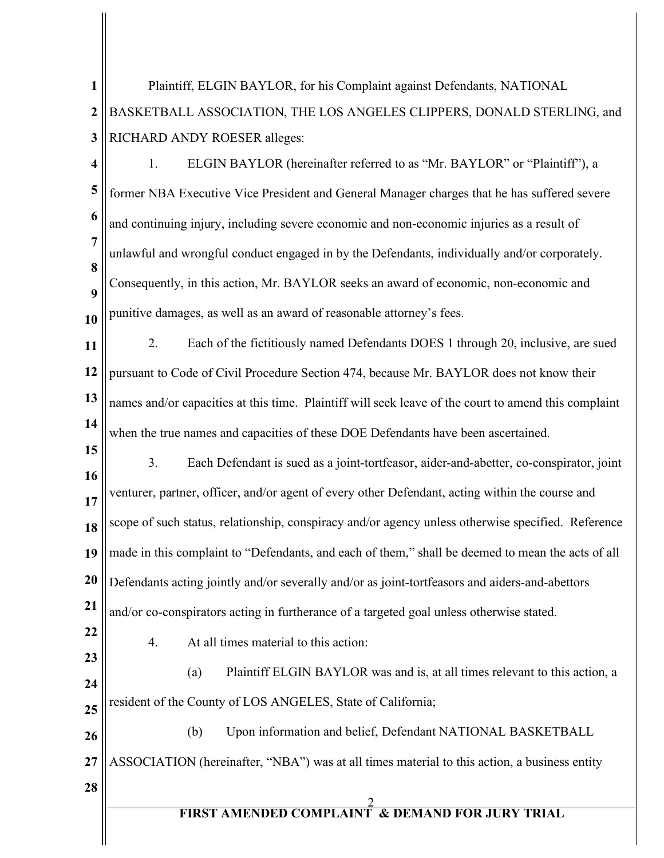2 **FIRST AMENDED COMPLAINT & DEMAND FOR JURY TRIAL 1 2 3 4 5 6 7 8 9 10 11 12 13 14 15 16 17 18 19 20 21 22 23 24 25 26 27 28** Plaintiff, ELGIN BAYLOR, for his Complaint against Defendants, NATIONAL BASKETBALL ASSOCIATION, THE LOS ANGELES CLIPPERS, DONALD STERLING, and RICHARD ANDY ROESER alleges: 1. ELGIN BAYLOR (hereinafter referred to as "Mr. BAYLOR" or "Plaintiff"), a former NBA Executive Vice President and General Manager charges that he has suffered severe and continuing injury, including severe economic and non-economic injuries as a result of unlawful and wrongful conduct engaged in by the Defendants, individually and/or corporately. Consequently, in this action, Mr. BAYLOR seeks an award of economic, non-economic and punitive damages, as well as an award of reasonable attorney's fees. 2. Each of the fictitiously named Defendants DOES 1 through 20, inclusive, are sued pursuant to Code of Civil Procedure Section 474, because Mr. BAYLOR does not know their names and/or capacities at this time. Plaintiff will seek leave of the court to amend this complaint when the true names and capacities of these DOE Defendants have been ascertained. 3. Each Defendant is sued as a joint-tortfeasor, aider-and-abetter, co-conspirator, joint venturer, partner, officer, and/or agent of every other Defendant, acting within the course and scope of such status, relationship, conspiracy and/or agency unless otherwise specified. Reference made in this complaint to "Defendants, and each of them," shall be deemed to mean the acts of all Defendants acting jointly and/or severally and/or as joint-tortfeasors and aiders-and-abettors and/or co-conspirators acting in furtherance of a targeted goal unless otherwise stated. 4. At all times material to this action: (a) Plaintiff ELGIN BAYLOR was and is, at all times relevant to this action, a resident of the County of LOS ANGELES, State of California; (b) Upon information and belief, Defendant NATIONAL BASKETBALL ASSOCIATION (hereinafter, "NBA") was at all times material to this action, a business entity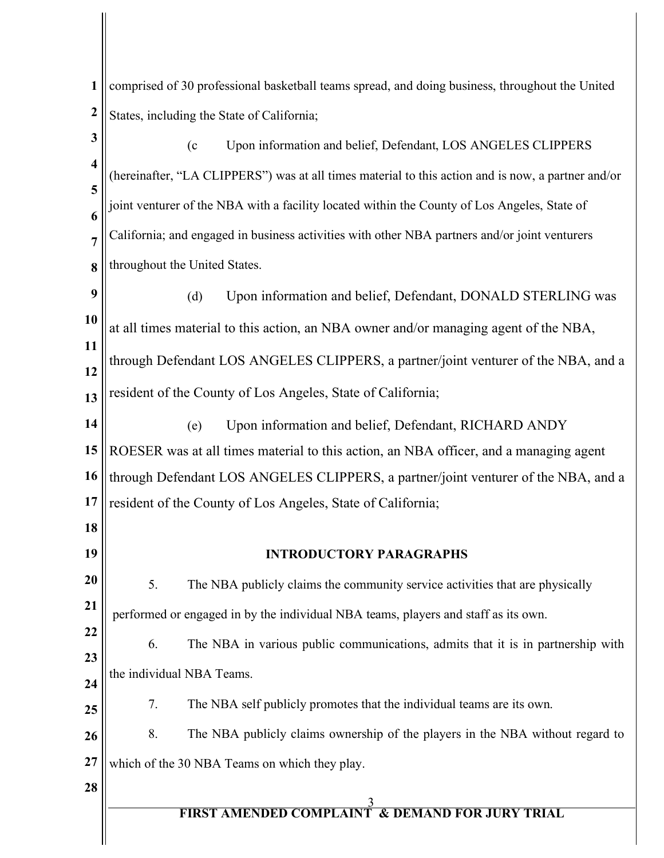**1 2** comprised of 30 professional basketball teams spread, and doing business, throughout the United States, including the State of California;

**3 4 5 6 7 8 9 10 11 12 13 14 15 16 17 18 19 20 21 22 23 24 25 26 27** (c Upon information and belief, Defendant, LOS ANGELES CLIPPERS (hereinafter, "LA CLIPPERS") was at all times material to this action and is now, a partner and/or joint venturer of the NBA with a facility located within the County of Los Angeles, State of California; and engaged in business activities with other NBA partners and/or joint venturers throughout the United States. (d) Upon information and belief, Defendant, DONALD STERLING was at all times material to this action, an NBA owner and/or managing agent of the NBA, through Defendant LOS ANGELES CLIPPERS, a partner/joint venturer of the NBA, and a resident of the County of Los Angeles, State of California; (e) Upon information and belief, Defendant, RICHARD ANDY ROESER was at all times material to this action, an NBA officer, and a managing agent through Defendant LOS ANGELES CLIPPERS, a partner/joint venturer of the NBA, and a resident of the County of Los Angeles, State of California; **INTRODUCTORY PARAGRAPHS** 5. The NBA publicly claims the community service activities that are physically performed or engaged in by the individual NBA teams, players and staff as its own. 6. The NBA in various public communications, admits that it is in partnership with the individual NBA Teams. 7. The NBA self publicly promotes that the individual teams are its own. 8. The NBA publicly claims ownership of the players in the NBA without regard to which of the 30 NBA Teams on which they play.

# 3 **FIRST AMENDED COMPLAINT & DEMAND FOR JURY TRIAL**

**28**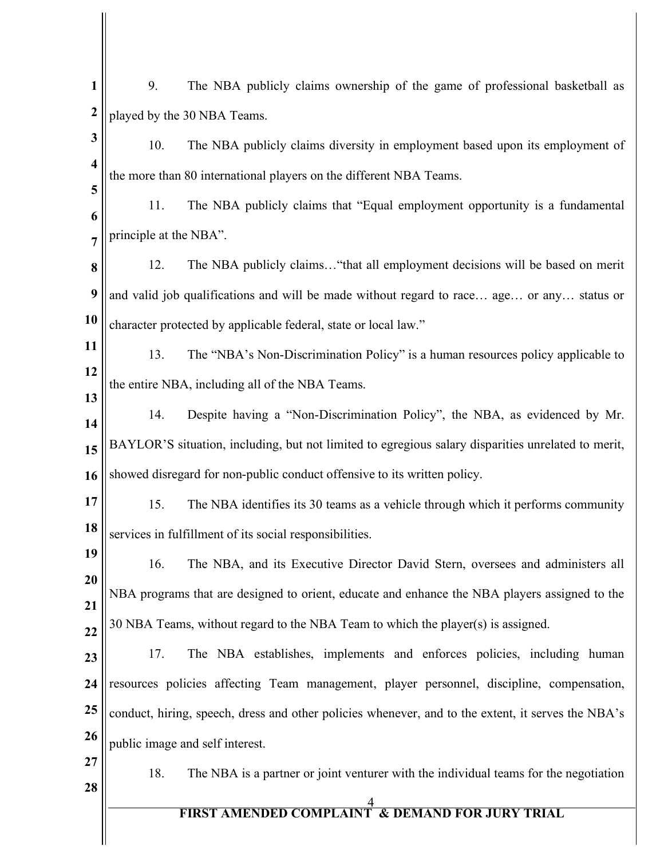| 1                       | 9.<br>The NBA publicly claims ownership of the game of professional basketball as                  |
|-------------------------|----------------------------------------------------------------------------------------------------|
| $\boldsymbol{2}$        | played by the 30 NBA Teams.                                                                        |
| 3                       | 10.<br>The NBA publicly claims diversity in employment based upon its employment of                |
| $\overline{\mathbf{4}}$ | the more than 80 international players on the different NBA Teams.                                 |
| 5<br>6                  | 11.<br>The NBA publicly claims that "Equal employment opportunity is a fundamental                 |
| $\overline{7}$          | principle at the NBA".                                                                             |
| 8                       | 12.<br>The NBA publicly claims "that all employment decisions will be based on merit               |
| 9                       | and valid job qualifications and will be made without regard to race age or any status or          |
| 10                      | character protected by applicable federal, state or local law."                                    |
| 11                      | The "NBA's Non-Discrimination Policy" is a human resources policy applicable to<br>13.             |
| 12                      | the entire NBA, including all of the NBA Teams.                                                    |
| 13<br>14                | Despite having a "Non-Discrimination Policy", the NBA, as evidenced by Mr.<br>14.                  |
| 15                      | BAYLOR'S situation, including, but not limited to egregious salary disparities unrelated to merit, |
| 16                      | showed disregard for non-public conduct offensive to its written policy.                           |
| 17                      | 15.<br>The NBA identifies its 30 teams as a vehicle through which it performs community            |
| 18                      | services in fulfillment of its social responsibilities.                                            |
| 19                      | 16.<br>The NBA, and its Executive Director David Stern, oversees and administers all               |
| 20<br>21                | NBA programs that are designed to orient, educate and enhance the NBA players assigned to the      |
| 22                      | 30 NBA Teams, without regard to the NBA Team to which the player(s) is assigned.                   |
| 23                      | 17.<br>The NBA establishes, implements and enforces policies, including human                      |
| 24                      | resources policies affecting Team management, player personnel, discipline, compensation,          |
| 25                      | conduct, hiring, speech, dress and other policies whenever, and to the extent, it serves the NBA's |
| 26                      | public image and self interest.                                                                    |
| 27<br>28                | The NBA is a partner or joint venturer with the individual teams for the negotiation<br>18.        |
|                         | <b>FIRST AMENDED COMPLAINT &amp; DEMAND FOR JURY TRIAL</b>                                         |
|                         |                                                                                                    |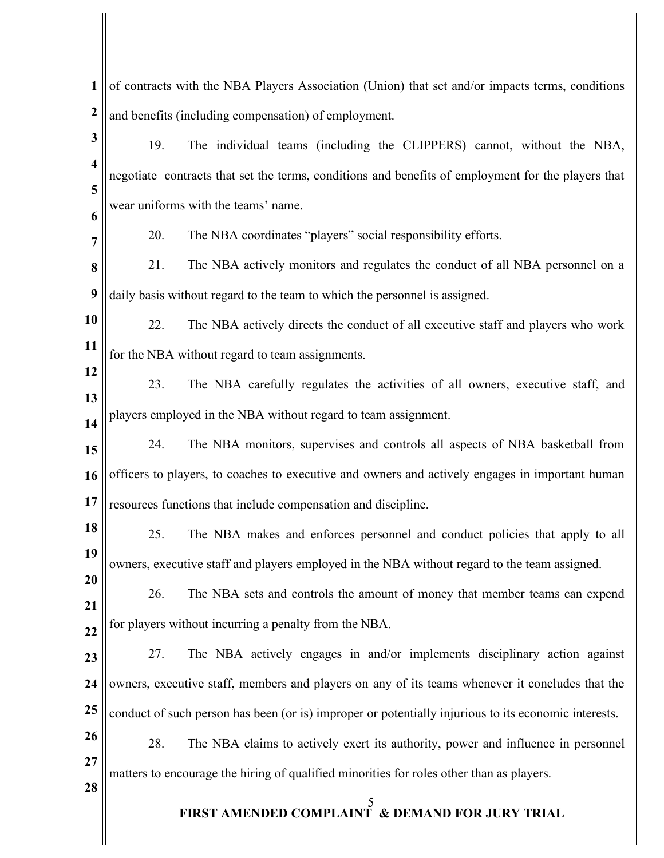| 1                       | of contracts with the NBA Players Association (Union) that set and/or impacts terms, conditions      |  |  |
|-------------------------|------------------------------------------------------------------------------------------------------|--|--|
| $\boldsymbol{2}$        | and benefits (including compensation) of employment.                                                 |  |  |
| 3                       | 19.<br>The individual teams (including the CLIPPERS) cannot, without the NBA,                        |  |  |
| $\overline{\mathbf{4}}$ | negotiate contracts that set the terms, conditions and benefits of employment for the players that   |  |  |
| 5<br>6                  | wear uniforms with the teams' name.                                                                  |  |  |
| 7                       | 20.<br>The NBA coordinates "players" social responsibility efforts.                                  |  |  |
| 8                       | 21.<br>The NBA actively monitors and regulates the conduct of all NBA personnel on a                 |  |  |
| 9                       | daily basis without regard to the team to which the personnel is assigned.                           |  |  |
| 10                      | 22.<br>The NBA actively directs the conduct of all executive staff and players who work              |  |  |
| 11                      | for the NBA without regard to team assignments.                                                      |  |  |
| 12<br>13                | 23.<br>The NBA carefully regulates the activities of all owners, executive staff, and                |  |  |
| 14                      | players employed in the NBA without regard to team assignment.                                       |  |  |
| 15                      | The NBA monitors, supervises and controls all aspects of NBA basketball from<br>24.                  |  |  |
| 16                      | officers to players, to coaches to executive and owners and actively engages in important human      |  |  |
| 17                      | resources functions that include compensation and discipline.                                        |  |  |
| 18                      | The NBA makes and enforces personnel and conduct policies that apply to all<br>25.                   |  |  |
| 19<br>20                | owners, executive staff and players employed in the NBA without regard to the team assigned.         |  |  |
| 21                      | The NBA sets and controls the amount of money that member teams can expend<br>26.                    |  |  |
| $\overline{22}$         | for players without incurring a penalty from the NBA.                                                |  |  |
| 23                      | The NBA actively engages in and/or implements disciplinary action against<br>27.                     |  |  |
| 24                      | owners, executive staff, members and players on any of its teams whenever it concludes that the      |  |  |
| 25                      | conduct of such person has been (or is) improper or potentially injurious to its economic interests. |  |  |
| 26<br>27                | 28.<br>The NBA claims to actively exert its authority, power and influence in personnel              |  |  |
| 28                      | matters to encourage the hiring of qualified minorities for roles other than as players.             |  |  |
|                         | <b>FIRST AMENDED COMPLAINT &amp; DEMAND FOR JURY TRIAL</b>                                           |  |  |
|                         |                                                                                                      |  |  |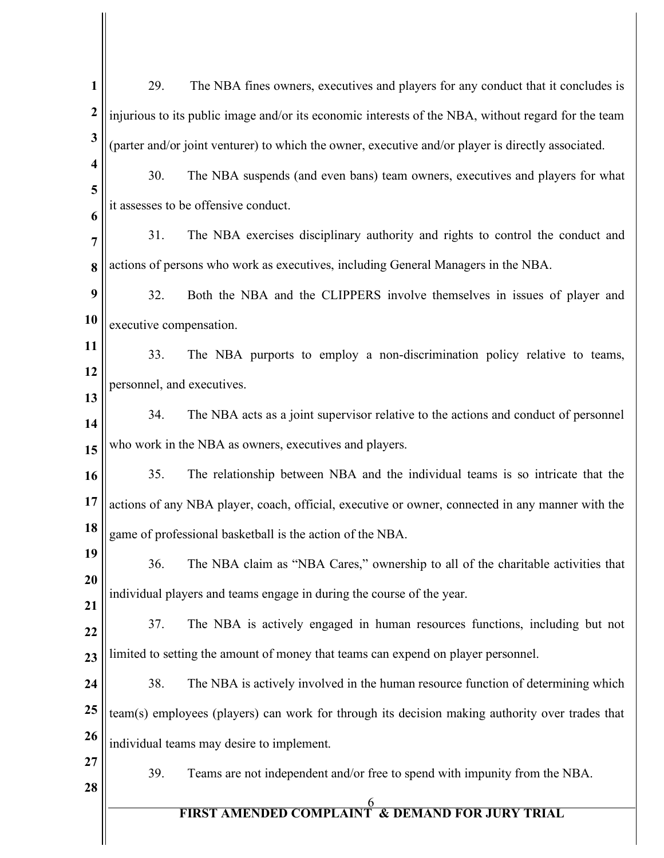| $\mathbf{1}$            | The NBA fines owners, executives and players for any conduct that it concludes is<br>29.            |  |  |
|-------------------------|-----------------------------------------------------------------------------------------------------|--|--|
| $\boldsymbol{2}$        | injurious to its public image and/or its economic interests of the NBA, without regard for the team |  |  |
| $\mathbf{3}$            | (parter and/or joint venturer) to which the owner, executive and/or player is directly associated.  |  |  |
| $\overline{\mathbf{4}}$ | 30.<br>The NBA suspends (and even bans) team owners, executives and players for what                |  |  |
| 5<br>6                  | it assesses to be offensive conduct.                                                                |  |  |
| $\overline{7}$          | The NBA exercises disciplinary authority and rights to control the conduct and<br>31.               |  |  |
| 8                       | actions of persons who work as executives, including General Managers in the NBA.                   |  |  |
| 9                       | 32.<br>Both the NBA and the CLIPPERS involve themselves in issues of player and                     |  |  |
| 10                      | executive compensation.                                                                             |  |  |
| 11                      | 33.<br>The NBA purports to employ a non-discrimination policy relative to teams,                    |  |  |
| 12                      | personnel, and executives.                                                                          |  |  |
| 13<br>14                | The NBA acts as a joint supervisor relative to the actions and conduct of personnel<br>34.          |  |  |
| 15                      | who work in the NBA as owners, executives and players.                                              |  |  |
| 16                      | 35.<br>The relationship between NBA and the individual teams is so intricate that the               |  |  |
| 17                      | actions of any NBA player, coach, official, executive or owner, connected in any manner with the    |  |  |
| 18                      | game of professional basketball is the action of the NBA.                                           |  |  |
| 19                      | 36.<br>The NBA claim as "NBA Cares," ownership to all of the charitable activities that             |  |  |
| 20<br>21                | individual players and teams engage in during the course of the year.                               |  |  |
| 22                      | The NBA is actively engaged in human resources functions, including but not<br>37.                  |  |  |
| 23                      | limited to setting the amount of money that teams can expend on player personnel.                   |  |  |
| 24                      | The NBA is actively involved in the human resource function of determining which<br>38.             |  |  |
| 25                      | team(s) employees (players) can work for through its decision making authority over trades that     |  |  |
| 26                      | individual teams may desire to implement.                                                           |  |  |
| 27                      | 39.<br>Teams are not independent and/or free to spend with impunity from the NBA.                   |  |  |
| 28                      | <b>FIRST AMENDED COMPLAINT &amp; DEMAND FOR JURY TRIAL</b>                                          |  |  |
|                         |                                                                                                     |  |  |
|                         |                                                                                                     |  |  |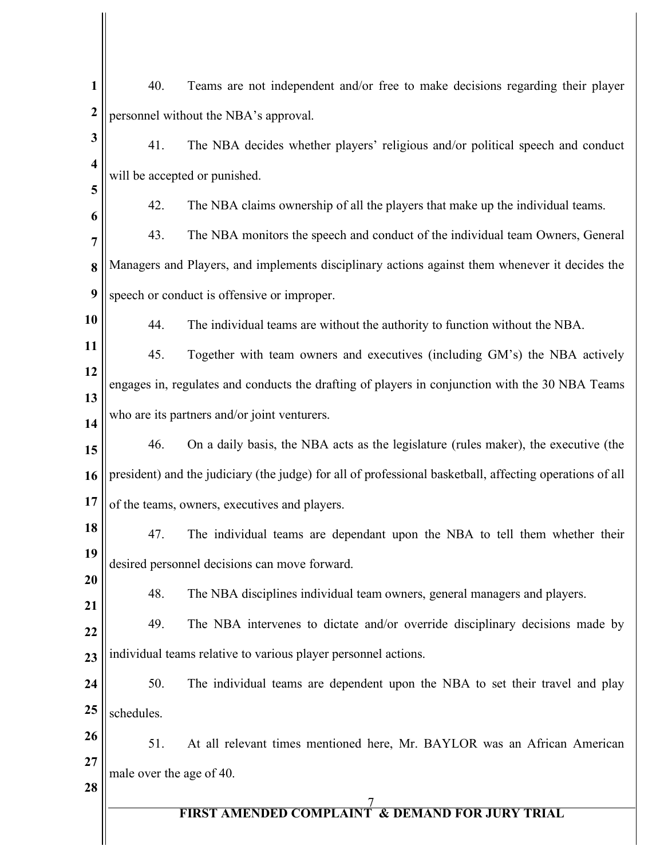| $\mathbf{1}$<br>$\boldsymbol{2}$ | 40.                                                                                             | Teams are not independent and/or free to make decisions regarding their player                           |  |
|----------------------------------|-------------------------------------------------------------------------------------------------|----------------------------------------------------------------------------------------------------------|--|
| 3                                |                                                                                                 | personnel without the NBA's approval.                                                                    |  |
| $\overline{\mathbf{4}}$          | 41.                                                                                             | The NBA decides whether players' religious and/or political speech and conduct                           |  |
| 5                                |                                                                                                 | will be accepted or punished.                                                                            |  |
| 6                                | 42.                                                                                             | The NBA claims ownership of all the players that make up the individual teams.                           |  |
| 7                                | 43.                                                                                             | The NBA monitors the speech and conduct of the individual team Owners, General                           |  |
| 8                                |                                                                                                 | Managers and Players, and implements disciplinary actions against them whenever it decides the           |  |
| $\boldsymbol{9}$                 |                                                                                                 | speech or conduct is offensive or improper.                                                              |  |
| 10                               | 44.                                                                                             | The individual teams are without the authority to function without the NBA.                              |  |
| 11                               | 45.                                                                                             | Together with team owners and executives (including GM's) the NBA actively                               |  |
| 12<br>13                         | engages in, regulates and conducts the drafting of players in conjunction with the 30 NBA Teams |                                                                                                          |  |
| 14                               | who are its partners and/or joint venturers.                                                    |                                                                                                          |  |
| 15                               | 46.                                                                                             | On a daily basis, the NBA acts as the legislature (rules maker), the executive (the                      |  |
| 16                               |                                                                                                 | president) and the judiciary (the judge) for all of professional basketball, affecting operations of all |  |
| 17                               |                                                                                                 | of the teams, owners, executives and players.                                                            |  |
| 18                               | 47.                                                                                             | The individual teams are dependant upon the NBA to tell them whether their                               |  |
| 19                               |                                                                                                 | desired personnel decisions can move forward.                                                            |  |
| 20<br>21                         | 48.                                                                                             | The NBA disciplines individual team owners, general managers and players.                                |  |
| 22                               | 49.                                                                                             | The NBA intervenes to dictate and/or override disciplinary decisions made by                             |  |
| 23                               | individual teams relative to various player personnel actions.                                  |                                                                                                          |  |
| 24                               | 50.                                                                                             | The individual teams are dependent upon the NBA to set their travel and play                             |  |
| 25                               | schedules.                                                                                      |                                                                                                          |  |
| 26                               | 51.                                                                                             | At all relevant times mentioned here, Mr. BAYLOR was an African American                                 |  |
| 27<br>28                         | male over the age of 40.                                                                        |                                                                                                          |  |
|                                  |                                                                                                 | <b>FIRST AMENDED COMPLAINT &amp; DEMAND FOR JURY TRIAL</b>                                               |  |
|                                  |                                                                                                 |                                                                                                          |  |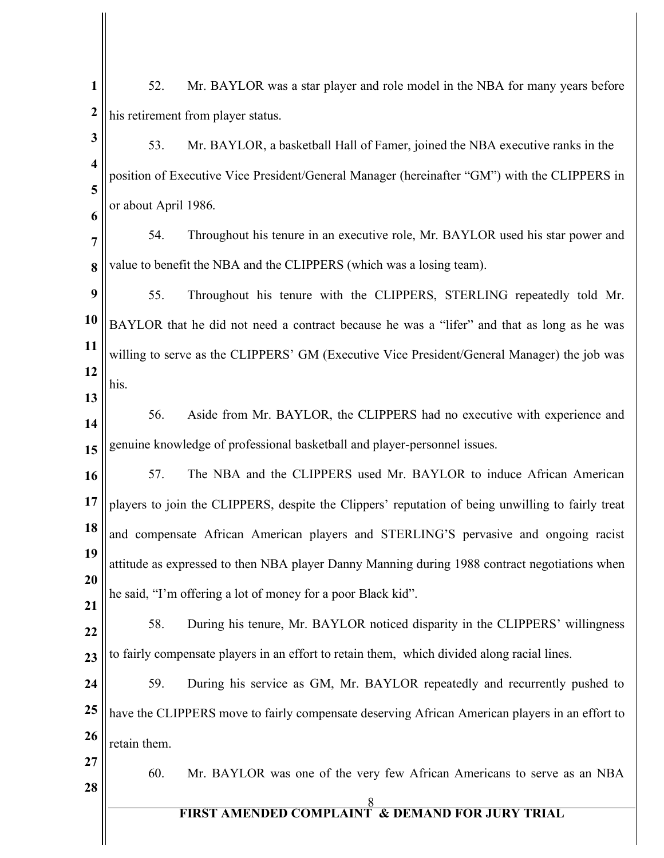| $\mathbf{1}$            | 52.                                | Mr. BAYLOR was a star player and role model in the NBA for many years before                      |  |
|-------------------------|------------------------------------|---------------------------------------------------------------------------------------------------|--|
| $\boldsymbol{2}$        | his retirement from player status. |                                                                                                   |  |
| 3                       | 53.                                | Mr. BAYLOR, a basketball Hall of Famer, joined the NBA executive ranks in the                     |  |
| $\overline{\mathbf{4}}$ |                                    | position of Executive Vice President/General Manager (hereinafter "GM") with the CLIPPERS in      |  |
| 5<br>6                  | or about April 1986.               |                                                                                                   |  |
| $\overline{7}$          | 54.                                | Throughout his tenure in an executive role, Mr. BAYLOR used his star power and                    |  |
| 8                       |                                    | value to benefit the NBA and the CLIPPERS (which was a losing team).                              |  |
| 9                       | 55.                                | Throughout his tenure with the CLIPPERS, STERLING repeatedly told Mr.                             |  |
| 10                      |                                    | BAYLOR that he did not need a contract because he was a "lifer" and that as long as he was        |  |
| 11                      |                                    | willing to serve as the CLIPPERS' GM (Executive Vice President/General Manager) the job was       |  |
| 12                      | his.                               |                                                                                                   |  |
| 13                      | 56.                                | Aside from Mr. BAYLOR, the CLIPPERS had no executive with experience and                          |  |
| 14                      |                                    | genuine knowledge of professional basketball and player-personnel issues.                         |  |
| 15                      |                                    |                                                                                                   |  |
| 16                      | 57.                                | The NBA and the CLIPPERS used Mr. BAYLOR to induce African American                               |  |
| 17                      |                                    | players to join the CLIPPERS, despite the Clippers' reputation of being unwilling to fairly treat |  |
| 18                      |                                    | and compensate African American players and STERLING'S pervasive and ongoing racist               |  |
| 19                      |                                    | attitude as expressed to then NBA player Danny Manning during 1988 contract negotiations when     |  |
| 20<br>21                |                                    | he said, "I'm offering a lot of money for a poor Black kid".                                      |  |
| 22                      | 58.                                | During his tenure, Mr. BAYLOR noticed disparity in the CLIPPERS' willingness                      |  |
| 23                      |                                    | to fairly compensate players in an effort to retain them, which divided along racial lines.       |  |
| 24                      | 59.                                | During his service as GM, Mr. BAYLOR repeatedly and recurrently pushed to                         |  |
| 25                      |                                    | have the CLIPPERS move to fairly compensate deserving African American players in an effort to    |  |
| 26                      | retain them.                       |                                                                                                   |  |
| 27                      | 60.                                | Mr. BAYLOR was one of the very few African Americans to serve as an NBA                           |  |
| 28                      |                                    |                                                                                                   |  |
|                         |                                    | <b>FIRST AMENDED COMPLAINT &amp; DEMAND FOR JURY TRIAL</b>                                        |  |
|                         |                                    |                                                                                                   |  |

 $\mathsf{l}$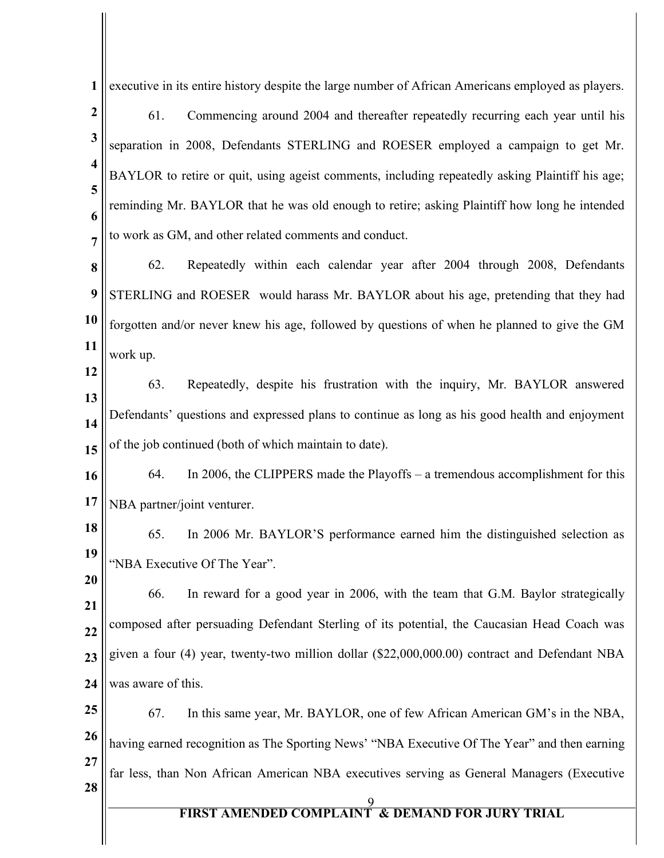9 **FIRST AMENDED COMPLAINT & DEMAND FOR JURY TRIAL 1 2 3 4 5 6 7 8 9 10 11 12 13 14 15 16 17 18 19 20 21 22 23 24 25 26 27 28** executive in its entire history despite the large number of African Americans employed as players. 61. Commencing around 2004 and thereafter repeatedly recurring each year until his separation in 2008, Defendants STERLING and ROESER employed a campaign to get Mr. BAYLOR to retire or quit, using ageist comments, including repeatedly asking Plaintiff his age; reminding Mr. BAYLOR that he was old enough to retire; asking Plaintiff how long he intended to work as GM, and other related comments and conduct. 62. Repeatedly within each calendar year after 2004 through 2008, Defendants STERLING and ROESER would harass Mr. BAYLOR about his age, pretending that they had forgotten and/or never knew his age, followed by questions of when he planned to give the GM work up. 63. Repeatedly, despite his frustration with the inquiry, Mr. BAYLOR answered Defendants' questions and expressed plans to continue as long as his good health and enjoyment of the job continued (both of which maintain to date). 64. In 2006, the CLIPPERS made the Playoffs – a tremendous accomplishment for this NBA partner/joint venturer. 65. In 2006 Mr. BAYLOR'S performance earned him the distinguished selection as "NBA Executive Of The Year". 66. In reward for a good year in 2006, with the team that G.M. Baylor strategically composed after persuading Defendant Sterling of its potential, the Caucasian Head Coach was given a four (4) year, twenty-two million dollar (\$22,000,000.00) contract and Defendant NBA was aware of this. 67. In this same year, Mr. BAYLOR, one of few African American GM's in the NBA, having earned recognition as The Sporting News' "NBA Executive Of The Year" and then earning far less, than Non African American NBA executives serving as General Managers (Executive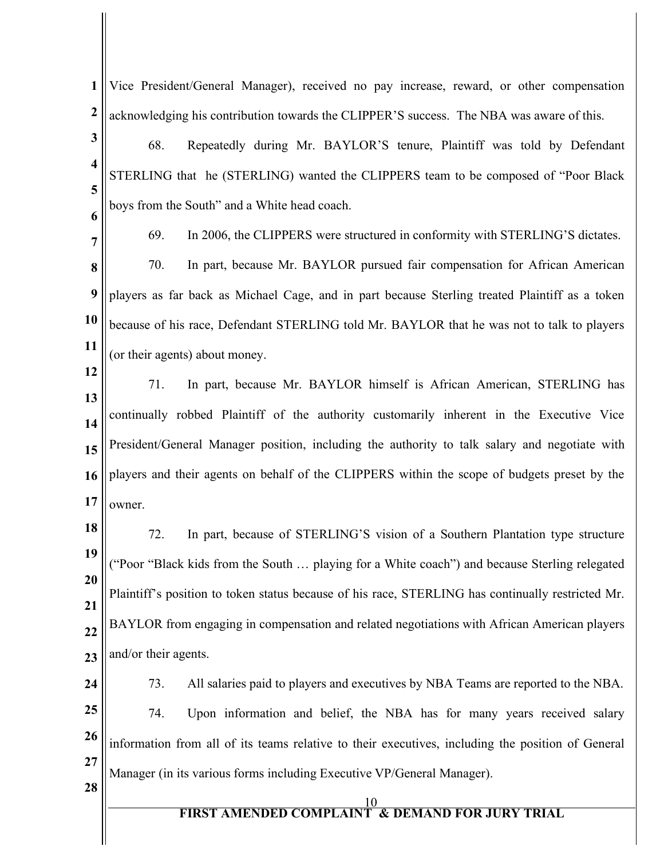**1 2** Vice President/General Manager), received no pay increase, reward, or other compensation acknowledging his contribution towards the CLIPPER'S success. The NBA was aware of this.

**3 4**

68. Repeatedly during Mr. BAYLOR'S tenure, Plaintiff was told by Defendant STERLING that he (STERLING) wanted the CLIPPERS team to be composed of "Poor Black boys from the South" and a White head coach.

**6 7**

**12**

**5**

69. In 2006, the CLIPPERS were structured in conformity with STERLING'S dictates.

**8 9 10 11** 70. In part, because Mr. BAYLOR pursued fair compensation for African American players as far back as Michael Cage, and in part because Sterling treated Plaintiff as a token because of his race, Defendant STERLING told Mr. BAYLOR that he was not to talk to players (or their agents) about money.

- **13 14 15 16 17** 71. In part, because Mr. BAYLOR himself is African American, STERLING has continually robbed Plaintiff of the authority customarily inherent in the Executive Vice President/General Manager position, including the authority to talk salary and negotiate with players and their agents on behalf of the CLIPPERS within the scope of budgets preset by the owner.
- **18**

**19 20 21 22 23** 72. In part, because of STERLING'S vision of a Southern Plantation type structure ("Poor "Black kids from the South … playing for a White coach") and because Sterling relegated Plaintiff's position to token status because of his race, STERLING has continually restricted Mr. BAYLOR from engaging in compensation and related negotiations with African American players and/or their agents.

- **24 25 26 27** 73. All salaries paid to players and executives by NBA Teams are reported to the NBA. 74. Upon information and belief, the NBA has for many years received salary information from all of its teams relative to their executives, including the position of General Manager (in its various forms including Executive VP/General Manager).
- **28**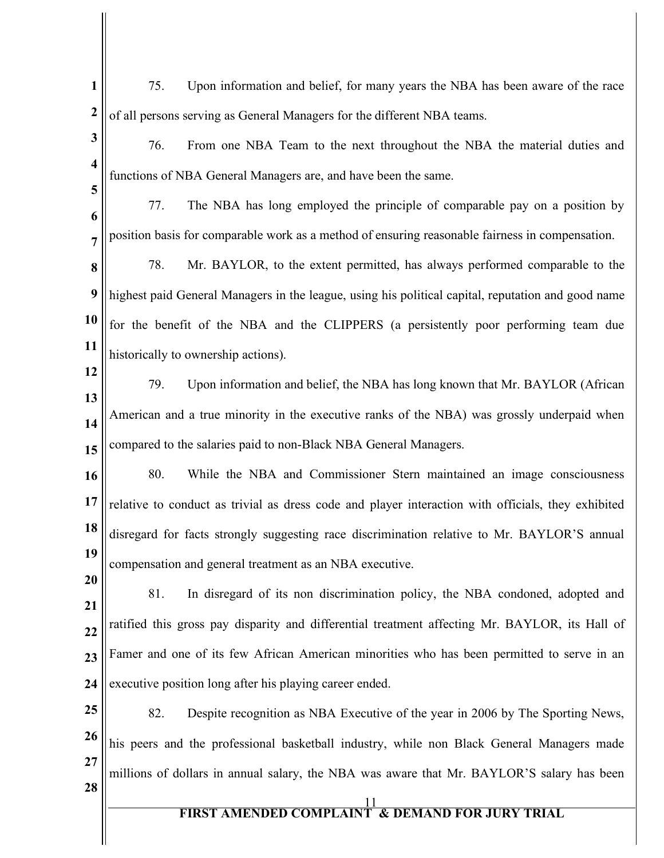- **1 2** 75. Upon information and belief, for many years the NBA has been aware of the race of all persons serving as General Managers for the different NBA teams.
- **3 4** 76. From one NBA Team to the next throughout the NBA the material duties and functions of NBA General Managers are, and have been the same.
- **6 7** 77. The NBA has long employed the principle of comparable pay on a position by position basis for comparable work as a method of ensuring reasonable fairness in compensation.
- **8 9 10 11** 78. Mr. BAYLOR, to the extent permitted, has always performed comparable to the highest paid General Managers in the league, using his political capital, reputation and good name for the benefit of the NBA and the CLIPPERS (a persistently poor performing team due historically to ownership actions).
- **12**

**5**

- **13 14 15** 79. Upon information and belief, the NBA has long known that Mr. BAYLOR (African American and a true minority in the executive ranks of the NBA) was grossly underpaid when compared to the salaries paid to non-Black NBA General Managers.
- **16 17 18 19** 80. While the NBA and Commissioner Stern maintained an image consciousness relative to conduct as trivial as dress code and player interaction with officials, they exhibited disregard for facts strongly suggesting race discrimination relative to Mr. BAYLOR'S annual compensation and general treatment as an NBA executive.
- **20**
- **21 22 23 24** 81. In disregard of its non discrimination policy, the NBA condoned, adopted and ratified this gross pay disparity and differential treatment affecting Mr. BAYLOR, its Hall of Famer and one of its few African American minorities who has been permitted to serve in an executive position long after his playing career ended.
- **25 26 27 28** 82. Despite recognition as NBA Executive of the year in 2006 by The Sporting News, his peers and the professional basketball industry, while non Black General Managers made millions of dollars in annual salary, the NBA was aware that Mr. BAYLOR'S salary has been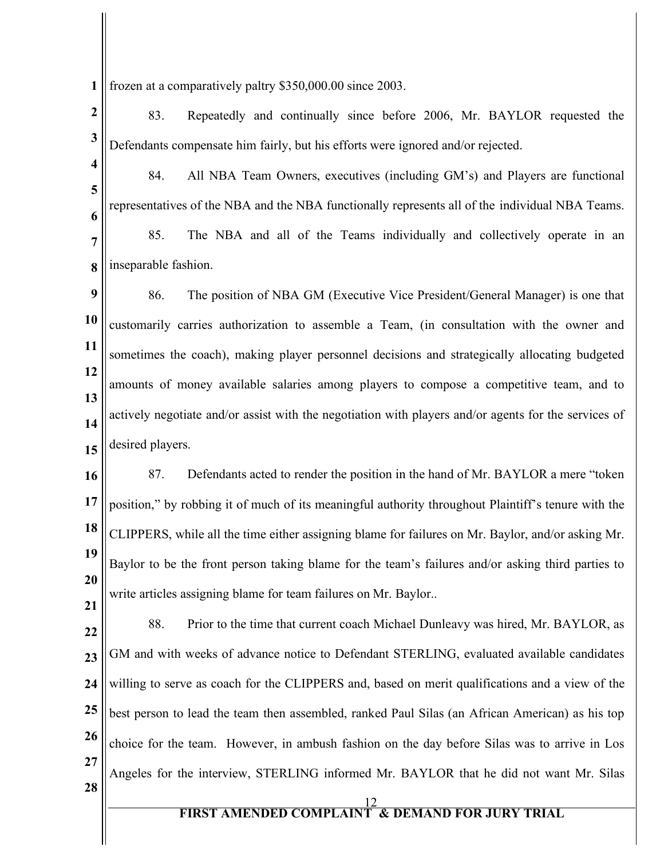**1** frozen at a comparatively paltry \$350,000.00 since 2003.

- **2 3** 83. Repeatedly and continually since before 2006, Mr. BAYLOR requested the Defendants compensate him fairly, but his efforts were ignored and/or rejected.
- **4 5 6** 84. All NBA Team Owners, executives (including GM's) and Players are functional representatives of the NBA and the NBA functionally represents all of the individual NBA Teams.

**7 8** 85. The NBA and all of the Teams individually and collectively operate in an inseparable fashion.

**9 10 11 12 13 14 15** 86. The position of NBA GM (Executive Vice President/General Manager) is one that customarily carries authorization to assemble a Team, (in consultation with the owner and sometimes the coach), making player personnel decisions and strategically allocating budgeted amounts of money available salaries among players to compose a competitive team, and to actively negotiate and/or assist with the negotiation with players and/or agents for the services of desired players.

**16 17 18 19 20 21** 87. Defendants acted to render the position in the hand of Mr. BAYLOR a mere "token position," by robbing it of much of its meaningful authority throughout Plaintiff's tenure with the CLIPPERS, while all the time either assigning blame for failures on Mr. Baylor, and/or asking Mr. Baylor to be the front person taking blame for the team's failures and/or asking third parties to write articles assigning blame for team failures on Mr. Baylor..

**22 23 24 25 26 27 28** 88. Prior to the time that current coach Michael Dunleavy was hired, Mr. BAYLOR, as GM and with weeks of advance notice to Defendant STERLING, evaluated available candidates willing to serve as coach for the CLIPPERS and, based on merit qualifications and a view of the best person to lead the team then assembled, ranked Paul Silas (an African American) as his top choice for the team. However, in ambush fashion on the day before Silas was to arrive in Los Angeles for the interview, STERLING informed Mr. BAYLOR that he did not want Mr. Silas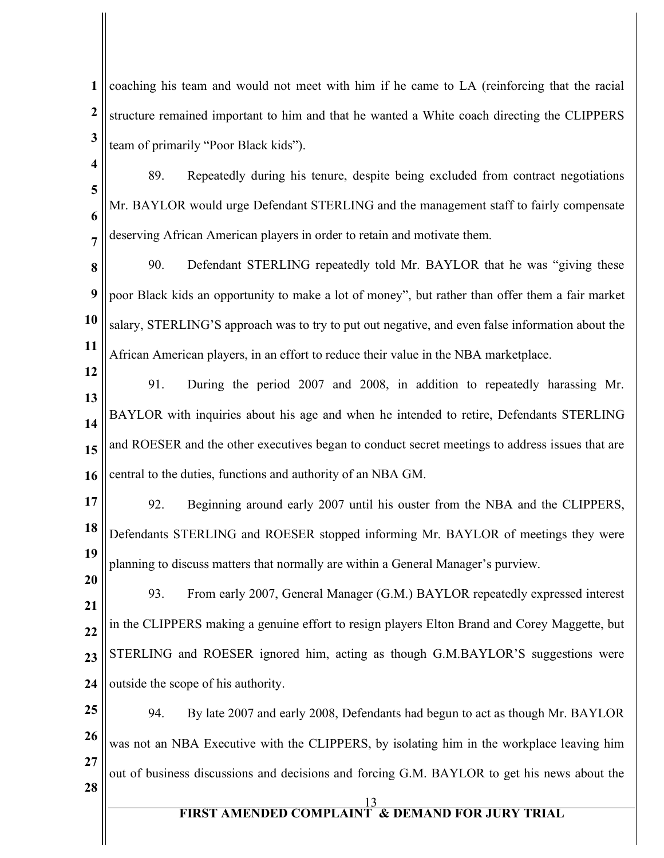**1 2 3** coaching his team and would not meet with him if he came to LA (reinforcing that the racial structure remained important to him and that he wanted a White coach directing the CLIPPERS team of primarily "Poor Black kids").

- **4 5 6 7** 89. Repeatedly during his tenure, despite being excluded from contract negotiations Mr. BAYLOR would urge Defendant STERLING and the management staff to fairly compensate deserving African American players in order to retain and motivate them.
- **8 9 10 11** 90. Defendant STERLING repeatedly told Mr. BAYLOR that he was "giving these poor Black kids an opportunity to make a lot of money", but rather than offer them a fair market salary, STERLING'S approach was to try to put out negative, and even false information about the African American players, in an effort to reduce their value in the NBA marketplace.
- **12 13 14 15 16** 91. During the period 2007 and 2008, in addition to repeatedly harassing Mr. BAYLOR with inquiries about his age and when he intended to retire, Defendants STERLING and ROESER and the other executives began to conduct secret meetings to address issues that are central to the duties, functions and authority of an NBA GM.
- **17 18 19** 92. Beginning around early 2007 until his ouster from the NBA and the CLIPPERS, Defendants STERLING and ROESER stopped informing Mr. BAYLOR of meetings they were planning to discuss matters that normally are within a General Manager's purview.
- **20 21 22 23 24** 93. From early 2007, General Manager (G.M.) BAYLOR repeatedly expressed interest in the CLIPPERS making a genuine effort to resign players Elton Brand and Corey Maggette, but STERLING and ROESER ignored him, acting as though G.M.BAYLOR'S suggestions were outside the scope of his authority.
- **25 26 27 28** 94. By late 2007 and early 2008, Defendants had begun to act as though Mr. BAYLOR was not an NBA Executive with the CLIPPERS, by isolating him in the workplace leaving him out of business discussions and decisions and forcing G.M. BAYLOR to get his news about the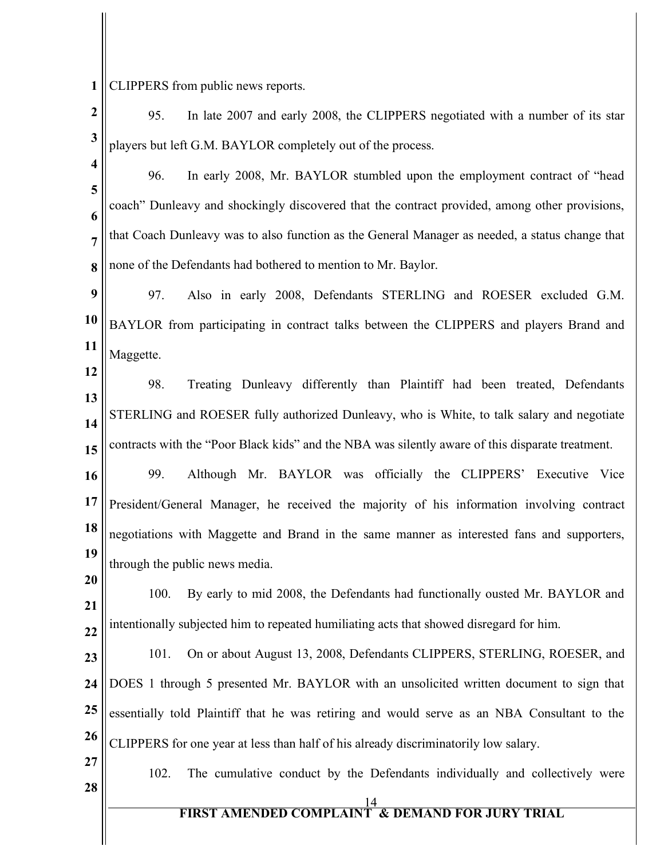**1** CLIPPERS from public news reports.

- **2 3** 95. In late 2007 and early 2008, the CLIPPERS negotiated with a number of its star players but left G.M. BAYLOR completely out of the process.
- **4**

**5**

**6**

**7**

**12**

**8** 96. In early 2008, Mr. BAYLOR stumbled upon the employment contract of "head coach" Dunleavy and shockingly discovered that the contract provided, among other provisions, that Coach Dunleavy was to also function as the General Manager as needed, a status change that none of the Defendants had bothered to mention to Mr. Baylor.

**9 10 11** 97. Also in early 2008, Defendants STERLING and ROESER excluded G.M. BAYLOR from participating in contract talks between the CLIPPERS and players Brand and Maggette.

**13 14 15** 98. Treating Dunleavy differently than Plaintiff had been treated, Defendants STERLING and ROESER fully authorized Dunleavy, who is White, to talk salary and negotiate contracts with the "Poor Black kids" and the NBA was silently aware of this disparate treatment.

**16 17 18 19** 99. Although Mr. BAYLOR was officially the CLIPPERS' Executive Vice President/General Manager, he received the majority of his information involving contract negotiations with Maggette and Brand in the same manner as interested fans and supporters, through the public news media.

**21 22** 100. By early to mid 2008, the Defendants had functionally ousted Mr. BAYLOR and intentionally subjected him to repeated humiliating acts that showed disregard for him.

**23 24 25 26** 101. On or about August 13, 2008, Defendants CLIPPERS, STERLING, ROESER, and DOES 1 through 5 presented Mr. BAYLOR with an unsolicited written document to sign that essentially told Plaintiff that he was retiring and would serve as an NBA Consultant to the CLIPPERS for one year at less than half of his already discriminatorily low salary.

**27**

**28**

**20**

102. The cumulative conduct by the Defendants individually and collectively were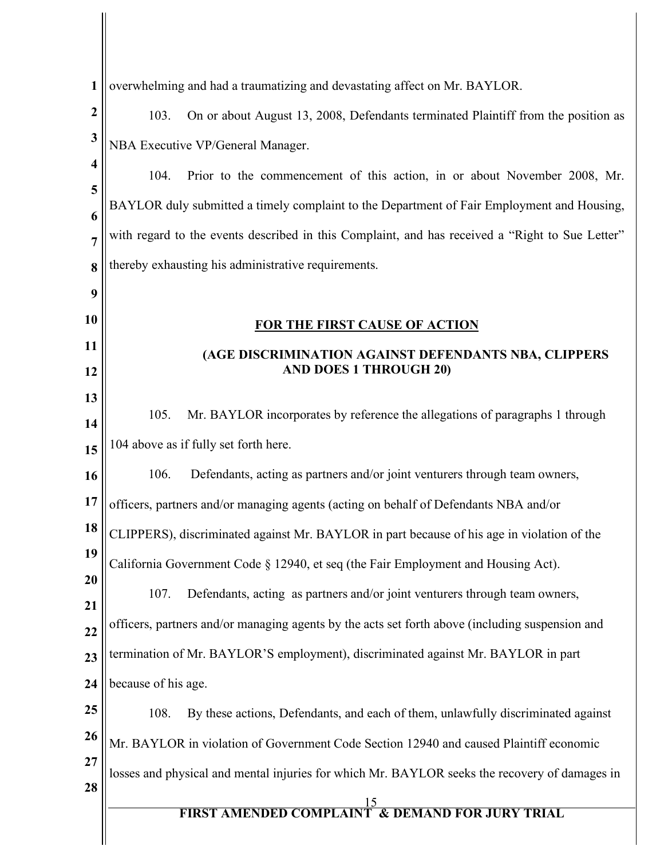| 1                | overwhelming and had a traumatizing and devastating affect on Mr. BAYLOR.                                                                              |  |  |
|------------------|--------------------------------------------------------------------------------------------------------------------------------------------------------|--|--|
| $\boldsymbol{2}$ | 103.<br>On or about August 13, 2008, Defendants terminated Plaintiff from the position as                                                              |  |  |
| 3                | NBA Executive VP/General Manager.                                                                                                                      |  |  |
| 4                | 104.<br>Prior to the commencement of this action, in or about November 2008, Mr.                                                                       |  |  |
| 5                |                                                                                                                                                        |  |  |
| 6                | BAYLOR duly submitted a timely complaint to the Department of Fair Employment and Housing,                                                             |  |  |
| $\overline{7}$   | with regard to the events described in this Complaint, and has received a "Right to Sue Letter"<br>thereby exhausting his administrative requirements. |  |  |
| 8<br>9           |                                                                                                                                                        |  |  |
| 10               | <b>FOR THE FIRST CAUSE OF ACTION</b>                                                                                                                   |  |  |
| 11               |                                                                                                                                                        |  |  |
| 12               | (AGE DISCRIMINATION AGAINST DEFENDANTS NBA, CLIPPERS<br><b>AND DOES 1 THROUGH 20)</b>                                                                  |  |  |
| 13               |                                                                                                                                                        |  |  |
| 14               | 105.<br>Mr. BAYLOR incorporates by reference the allegations of paragraphs 1 through                                                                   |  |  |
| 15               | 104 above as if fully set forth here.                                                                                                                  |  |  |
| 16               | 106.<br>Defendants, acting as partners and/or joint venturers through team owners,                                                                     |  |  |
| 17               | officers, partners and/or managing agents (acting on behalf of Defendants NBA and/or                                                                   |  |  |
| 18               | CLIPPERS), discriminated against Mr. BAYLOR in part because of his age in violation of the                                                             |  |  |
| 19               | California Government Code § 12940, et seq (the Fair Employment and Housing Act).                                                                      |  |  |
| 20<br>21         | 107.<br>Defendants, acting as partners and/or joint venturers through team owners,                                                                     |  |  |
| 22               | officers, partners and/or managing agents by the acts set forth above (including suspension and                                                        |  |  |
| 23               | termination of Mr. BAYLOR'S employment), discriminated against Mr. BAYLOR in part                                                                      |  |  |
| 24               | because of his age.                                                                                                                                    |  |  |
| 25               | 108.<br>By these actions, Defendants, and each of them, unlawfully discriminated against                                                               |  |  |
| 26               | Mr. BAYLOR in violation of Government Code Section 12940 and caused Plaintiff economic                                                                 |  |  |
| 27               | losses and physical and mental injuries for which Mr. BAYLOR seeks the recovery of damages in                                                          |  |  |
| 28               | <b>FIRST AMENDED COMPLAINT &amp; DEMAND FOR JURY TRIAL</b>                                                                                             |  |  |
|                  |                                                                                                                                                        |  |  |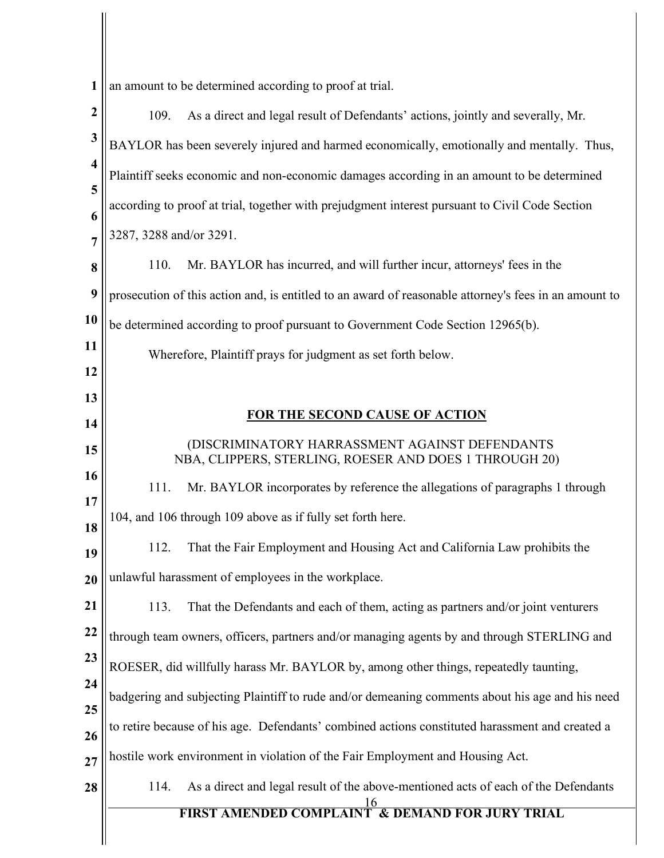**1** | an amount to be determined according to proof at trial.

Ĺ

| $\boldsymbol{2}$        | As a direct and legal result of Defendants' actions, jointly and severally, Mr.<br>109.                  |  |  |
|-------------------------|----------------------------------------------------------------------------------------------------------|--|--|
| 3                       | BAYLOR has been severely injured and harmed economically, emotionally and mentally. Thus,                |  |  |
| $\overline{\mathbf{4}}$ | Plaintiff seeks economic and non-economic damages according in an amount to be determined                |  |  |
| 5<br>6                  | according to proof at trial, together with prejudgment interest pursuant to Civil Code Section           |  |  |
| $\overline{7}$          | 3287, 3288 and/or 3291.                                                                                  |  |  |
| 8                       | Mr. BAYLOR has incurred, and will further incur, attorneys' fees in the<br>110.                          |  |  |
| 9                       | prosecution of this action and, is entitled to an award of reasonable attorney's fees in an amount to    |  |  |
| 10                      | be determined according to proof pursuant to Government Code Section 12965(b).                           |  |  |
| 11                      | Wherefore, Plaintiff prays for judgment as set forth below.                                              |  |  |
| 12                      |                                                                                                          |  |  |
| 13<br>14                | <b>FOR THE SECOND CAUSE OF ACTION</b>                                                                    |  |  |
| 15                      | (DISCRIMINATORY HARRASSMENT AGAINST DEFENDANTS<br>NBA, CLIPPERS, STERLING, ROESER AND DOES 1 THROUGH 20) |  |  |
| 16                      | Mr. BAYLOR incorporates by reference the allegations of paragraphs 1 through<br>111.                     |  |  |
| 17<br>18                | 104, and 106 through 109 above as if fully set forth here.                                               |  |  |
| 19                      | 112.<br>That the Fair Employment and Housing Act and California Law prohibits the                        |  |  |
| 20                      | unlawful harassment of employees in the workplace.                                                       |  |  |
| 21                      | That the Defendants and each of them, acting as partners and/or joint venturers<br>113.                  |  |  |
| <b>22</b>               | through team owners, officers, partners and/or managing agents by and through STERLING and               |  |  |
| 23                      | ROESER, did willfully harass Mr. BAYLOR by, among other things, repeatedly taunting,                     |  |  |
| 24<br>25                | badgering and subjecting Plaintiff to rude and/or demeaning comments about his age and his need          |  |  |
| 26                      | to retire because of his age. Defendants' combined actions constituted harassment and created a          |  |  |
| 27                      | hostile work environment in violation of the Fair Employment and Housing Act.                            |  |  |
| 28                      | As a direct and legal result of the above-mentioned acts of each of the Defendants<br>114.               |  |  |
|                         | <b>FIRST AMENDED COMPLAINT &amp; DEMAND FOR JURY TRIAL</b>                                               |  |  |
|                         |                                                                                                          |  |  |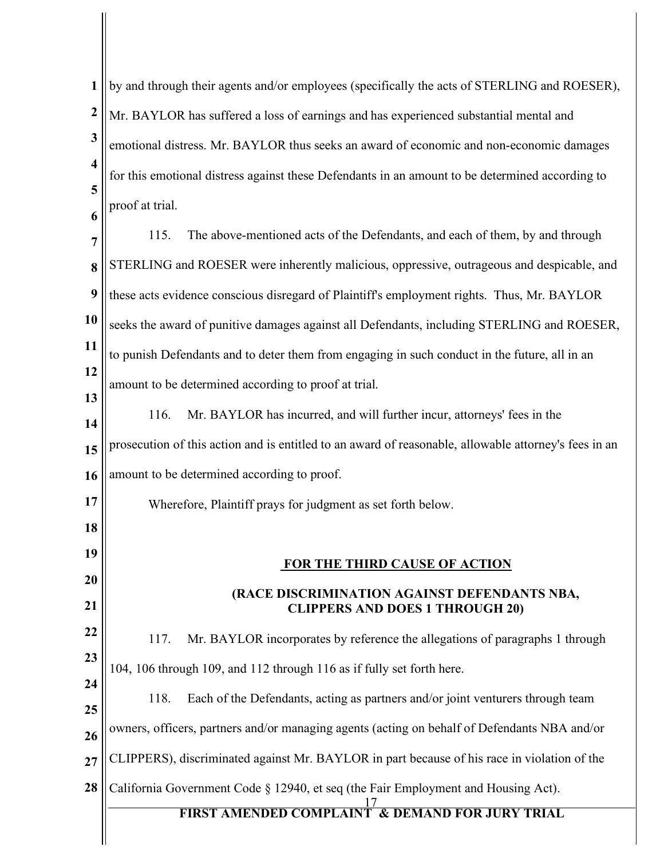| $\mathbf{1}$            | by and through their agents and/or employees (specifically the acts of STERLING and ROESER),          |  |  |
|-------------------------|-------------------------------------------------------------------------------------------------------|--|--|
| $\boldsymbol{2}$        | Mr. BAYLOR has suffered a loss of earnings and has experienced substantial mental and                 |  |  |
| $\mathbf{3}$            | emotional distress. Mr. BAYLOR thus seeks an award of economic and non-economic damages               |  |  |
| $\overline{\mathbf{4}}$ | for this emotional distress against these Defendants in an amount to be determined according to       |  |  |
| 5<br>6                  | proof at trial.                                                                                       |  |  |
| $\overline{7}$          | 115.<br>The above-mentioned acts of the Defendants, and each of them, by and through                  |  |  |
| 8                       | STERLING and ROESER were inherently malicious, oppressive, outrageous and despicable, and             |  |  |
| $\boldsymbol{9}$        | these acts evidence conscious disregard of Plaintiff's employment rights. Thus, Mr. BAYLOR            |  |  |
| 10                      | seeks the award of punitive damages against all Defendants, including STERLING and ROESER,            |  |  |
| 11                      | to punish Defendants and to deter them from engaging in such conduct in the future, all in an         |  |  |
| 12                      | amount to be determined according to proof at trial.                                                  |  |  |
| 13<br>14                | Mr. BAYLOR has incurred, and will further incur, attorneys' fees in the<br>116.                       |  |  |
| 15                      | prosecution of this action and is entitled to an award of reasonable, allowable attorney's fees in an |  |  |
| 16                      | amount to be determined according to proof.                                                           |  |  |
| 17                      | Wherefore, Plaintiff prays for judgment as set forth below.                                           |  |  |
| 18                      |                                                                                                       |  |  |
| 19                      | FOR THE THIRD CAUSE OF ACTION                                                                         |  |  |
| 20<br>21                | (RACE DISCRIMINATION AGAINST DEFENDANTS NBA,                                                          |  |  |
| 22                      | <b>CLIPPERS AND DOES 1 THROUGH 20)</b>                                                                |  |  |
| 23                      | Mr. BAYLOR incorporates by reference the allegations of paragraphs 1 through<br>117.                  |  |  |
| 24                      | 104, 106 through 109, and 112 through 116 as if fully set forth here.                                 |  |  |
| 25                      | 118.<br>Each of the Defendants, acting as partners and/or joint venturers through team                |  |  |
| 26                      | owners, officers, partners and/or managing agents (acting on behalf of Defendants NBA and/or          |  |  |
| 27                      | CLIPPERS), discriminated against Mr. BAYLOR in part because of his race in violation of the           |  |  |
| 28                      | California Government Code § 12940, et seq (the Fair Employment and Housing Act).                     |  |  |
|                         | <b>FIRST AMENDED COMPLAINT &amp; DEMAND FOR JURY TRIAL</b>                                            |  |  |
|                         |                                                                                                       |  |  |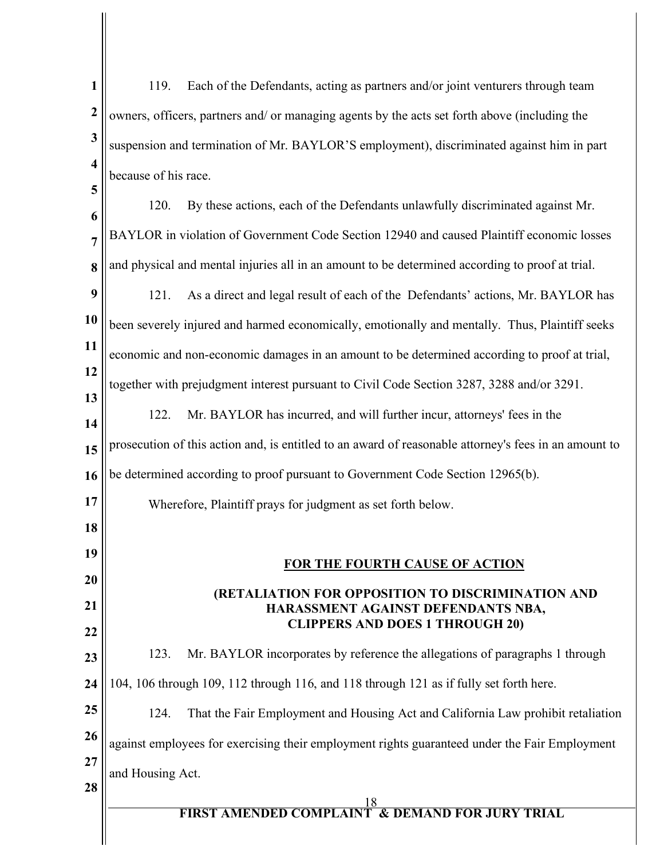| $\mathbf{1}$                                                                                                                                                 | Each of the Defendants, acting as partners and/or joint venturers through team<br>119.                |  |
|--------------------------------------------------------------------------------------------------------------------------------------------------------------|-------------------------------------------------------------------------------------------------------|--|
| $\boldsymbol{2}$                                                                                                                                             | owners, officers, partners and/ or managing agents by the acts set forth above (including the         |  |
| $\mathbf{3}$<br>suspension and termination of Mr. BAYLOR'S employment), discriminated against him in part<br>$\overline{\mathbf{4}}$<br>because of his race. |                                                                                                       |  |
|                                                                                                                                                              |                                                                                                       |  |
| $\overline{7}$                                                                                                                                               | BAYLOR in violation of Government Code Section 12940 and caused Plaintiff economic losses             |  |
| 8                                                                                                                                                            | and physical and mental injuries all in an amount to be determined according to proof at trial.       |  |
| 9                                                                                                                                                            | 121.<br>As a direct and legal result of each of the Defendants' actions, Mr. BAYLOR has               |  |
| 10                                                                                                                                                           | been severely injured and harmed economically, emotionally and mentally. Thus, Plaintiff seeks        |  |
| 11                                                                                                                                                           | economic and non-economic damages in an amount to be determined according to proof at trial,          |  |
| 12                                                                                                                                                           | together with prejudgment interest pursuant to Civil Code Section 3287, 3288 and/or 3291.             |  |
| 13<br>14                                                                                                                                                     | Mr. BAYLOR has incurred, and will further incur, attorneys' fees in the<br>122.                       |  |
| 15                                                                                                                                                           | prosecution of this action and, is entitled to an award of reasonable attorney's fees in an amount to |  |
| 16                                                                                                                                                           | be determined according to proof pursuant to Government Code Section 12965(b).                        |  |
| 17                                                                                                                                                           | Wherefore, Plaintiff prays for judgment as set forth below.                                           |  |
| 18                                                                                                                                                           |                                                                                                       |  |
| 19                                                                                                                                                           | FOR THE FOURTH CAUSE OF ACTION                                                                        |  |
| 20<br>21                                                                                                                                                     | (RETALIATION FOR OPPOSITION TO DISCRIMINATION AND                                                     |  |
| 22                                                                                                                                                           | HARASSMENT AGAINST DEFENDANTS NBA,<br><b>CLIPPERS AND DOES 1 THROUGH 20)</b>                          |  |
| 23                                                                                                                                                           | Mr. BAYLOR incorporates by reference the allegations of paragraphs 1 through<br>123.                  |  |
| 24                                                                                                                                                           | 104, 106 through 109, 112 through 116, and 118 through 121 as if fully set forth here.                |  |
| 25                                                                                                                                                           | That the Fair Employment and Housing Act and California Law prohibit retaliation<br>124.              |  |
| 26                                                                                                                                                           | against employees for exercising their employment rights guaranteed under the Fair Employment         |  |
| 27<br>28                                                                                                                                                     | and Housing Act.                                                                                      |  |
|                                                                                                                                                              | <b>FIRST AMENDED COMPLAINT &amp; DEMAND FOR JURY TRIAL</b>                                            |  |
|                                                                                                                                                              |                                                                                                       |  |

I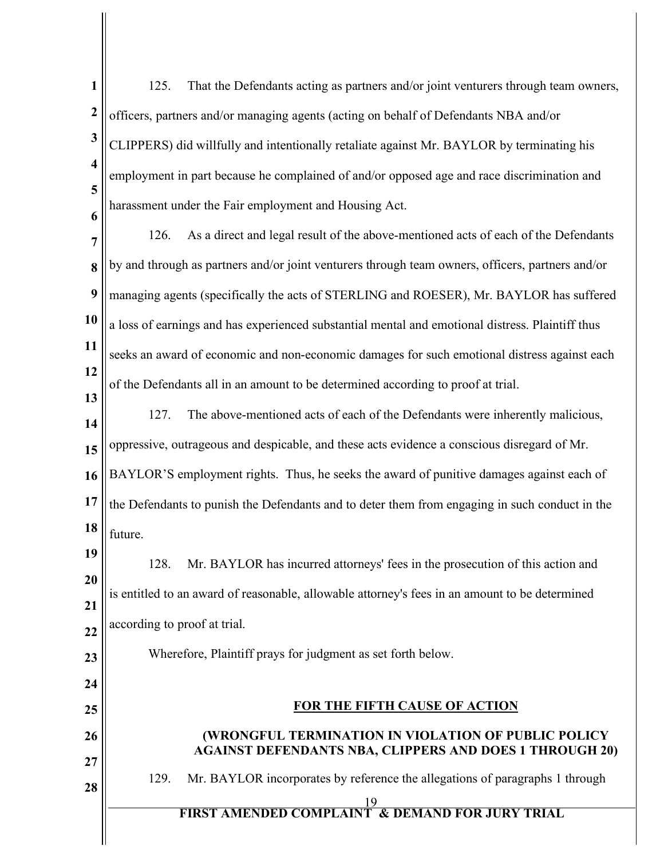| $\mathbf{1}$            | That the Defendants acting as partners and/or joint venturers through team owners,<br>125.                            |  |  |
|-------------------------|-----------------------------------------------------------------------------------------------------------------------|--|--|
| $\boldsymbol{2}$        | officers, partners and/or managing agents (acting on behalf of Defendants NBA and/or                                  |  |  |
| $\mathbf{3}$            | CLIPPERS) did willfully and intentionally retaliate against Mr. BAYLOR by terminating his                             |  |  |
| $\overline{\mathbf{4}}$ | employment in part because he complained of and/or opposed age and race discrimination and                            |  |  |
| 5<br>6                  | harassment under the Fair employment and Housing Act.                                                                 |  |  |
| 7                       | As a direct and legal result of the above-mentioned acts of each of the Defendants<br>126.                            |  |  |
| 8                       | by and through as partners and/or joint venturers through team owners, officers, partners and/or                      |  |  |
| 9                       | managing agents (specifically the acts of STERLING and ROESER), Mr. BAYLOR has suffered                               |  |  |
| 10                      | a loss of earnings and has experienced substantial mental and emotional distress. Plaintiff thus                      |  |  |
| 11                      | seeks an award of economic and non-economic damages for such emotional distress against each                          |  |  |
| 12<br>13                | of the Defendants all in an amount to be determined according to proof at trial.                                      |  |  |
| 14                      | The above-mentioned acts of each of the Defendants were inherently malicious,<br>127.                                 |  |  |
| 15                      | oppressive, outrageous and despicable, and these acts evidence a conscious disregard of Mr.                           |  |  |
| 16                      | BAYLOR'S employment rights. Thus, he seeks the award of punitive damages against each of                              |  |  |
| 17                      | the Defendants to punish the Defendants and to deter them from engaging in such conduct in the                        |  |  |
| 18                      | future.                                                                                                               |  |  |
| 19                      | Mr. BAYLOR has incurred attorneys' fees in the prosecution of this action and<br>128.                                 |  |  |
| 20<br>21                | is entitled to an award of reasonable, allowable attorney's fees in an amount to be determined                        |  |  |
| 22                      | according to proof at trial.                                                                                          |  |  |
| 23                      | Wherefore, Plaintiff prays for judgment as set forth below.                                                           |  |  |
| 24                      |                                                                                                                       |  |  |
| 25                      | <b>FOR THE FIFTH CAUSE OF ACTION</b>                                                                                  |  |  |
| 26<br>27                | (WRONGFUL TERMINATION IN VIOLATION OF PUBLIC POLICY<br><b>AGAINST DEFENDANTS NBA, CLIPPERS AND DOES 1 THROUGH 20)</b> |  |  |
| 28                      | Mr. BAYLOR incorporates by reference the allegations of paragraphs 1 through<br>129.                                  |  |  |
|                         | <b>FIRST AMENDED COMPLAINT &amp; DEMAND FOR JURY TRIAL</b>                                                            |  |  |
|                         |                                                                                                                       |  |  |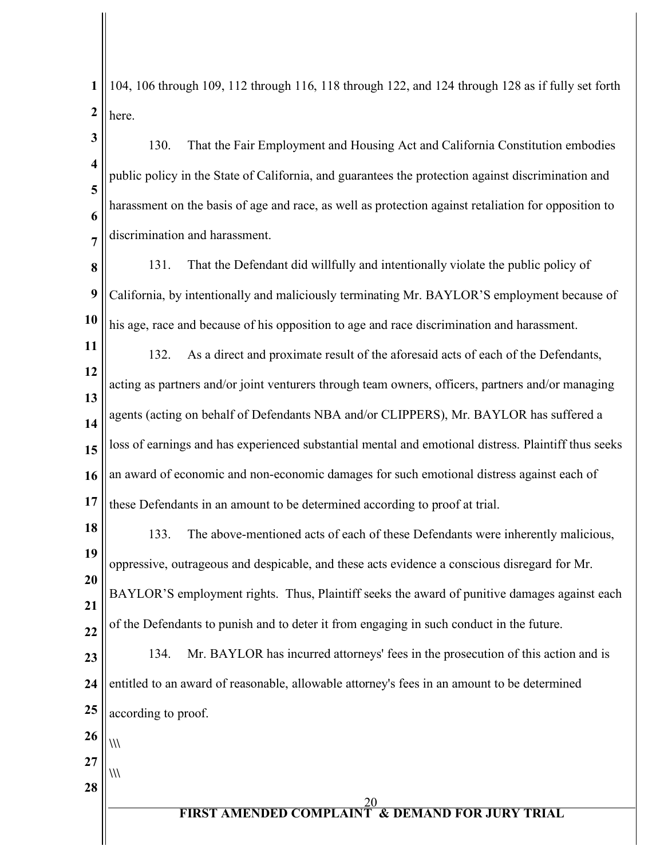**1 2** 104, 106 through 109, 112 through 116, 118 through 122, and 124 through 128 as if fully set forth here.

**3 4 5 6 7** 130. That the Fair Employment and Housing Act and California Constitution embodies public policy in the State of California, and guarantees the protection against discrimination and harassment on the basis of age and race, as well as protection against retaliation for opposition to discrimination and harassment.

**8 9 10** 131. That the Defendant did willfully and intentionally violate the public policy of California, by intentionally and maliciously terminating Mr. BAYLOR'S employment because of his age, race and because of his opposition to age and race discrimination and harassment.

**11 12 13 14 15 16 17** 132. As a direct and proximate result of the aforesaid acts of each of the Defendants, acting as partners and/or joint venturers through team owners, officers, partners and/or managing agents (acting on behalf of Defendants NBA and/or CLIPPERS), Mr. BAYLOR has suffered a loss of earnings and has experienced substantial mental and emotional distress. Plaintiff thus seeks an award of economic and non-economic damages for such emotional distress against each of these Defendants in an amount to be determined according to proof at trial.

**18 19 20 21 22** 133. The above-mentioned acts of each of these Defendants were inherently malicious, oppressive, outrageous and despicable, and these acts evidence a conscious disregard for Mr. BAYLOR'S employment rights. Thus, Plaintiff seeks the award of punitive damages against each of the Defendants to punish and to deter it from engaging in such conduct in the future.

**23 24 25** 134. Mr. BAYLOR has incurred attorneys' fees in the prosecution of this action and is entitled to an award of reasonable, allowable attorney's fees in an amount to be determined according to proof.

- **26 \\\**
- **27**

**28**

**\\\**

 $\overline{20}$ **FIRST AMENDED COMPLAINT & DEMAND FOR JURY TRIAL**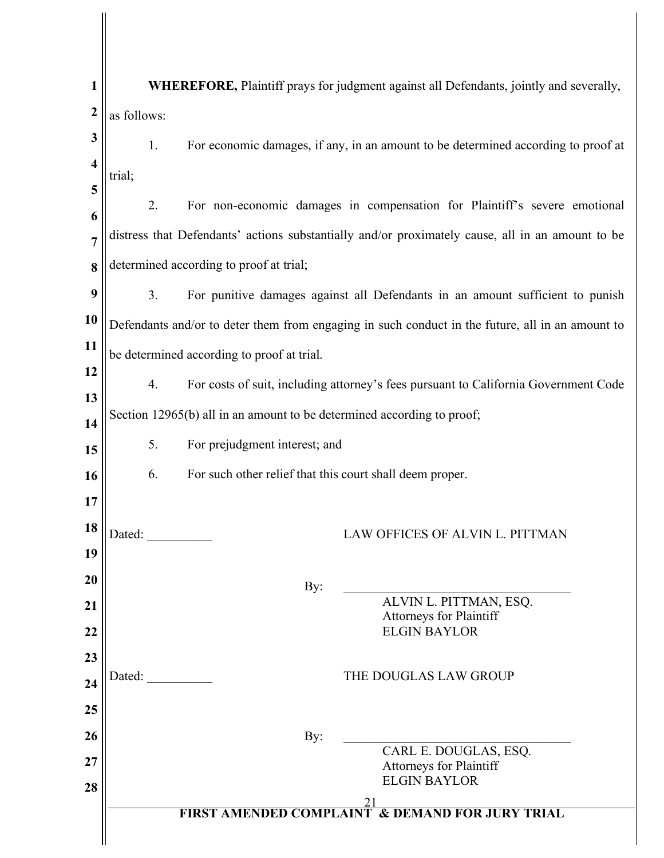| 1                       |                                                                                           | WHEREFORE, Plaintiff prays for judgment against all Defendants, jointly and severally,           |  |
|-------------------------|-------------------------------------------------------------------------------------------|--------------------------------------------------------------------------------------------------|--|
| $\boldsymbol{2}$        | as follows:                                                                               |                                                                                                  |  |
| 3                       | 1.                                                                                        | For economic damages, if any, in an amount to be determined according to proof at                |  |
| $\overline{\mathbf{4}}$ | trial;                                                                                    |                                                                                                  |  |
| 5                       | 2.                                                                                        | For non-economic damages in compensation for Plaintiff's severe emotional                        |  |
| 6                       |                                                                                           |                                                                                                  |  |
| $\overline{7}$          |                                                                                           | distress that Defendants' actions substantially and/or proximately cause, all in an amount to be |  |
| 8                       |                                                                                           | determined according to proof at trial;                                                          |  |
| 9                       | 3.                                                                                        | For punitive damages against all Defendants in an amount sufficient to punish                    |  |
| 10                      |                                                                                           | Defendants and/or to deter them from engaging in such conduct in the future, all in an amount to |  |
| 11                      |                                                                                           | be determined according to proof at trial.                                                       |  |
| 12                      |                                                                                           |                                                                                                  |  |
| 13                      | For costs of suit, including attorney's fees pursuant to California Government Code<br>4. |                                                                                                  |  |
| 14                      |                                                                                           | Section 12965(b) all in an amount to be determined according to proof;                           |  |
| 15                      | 5.                                                                                        | For prejudgment interest; and                                                                    |  |
| 16                      | 6.                                                                                        | For such other relief that this court shall deem proper.                                         |  |
| 17                      |                                                                                           |                                                                                                  |  |
| 18                      | Dated:                                                                                    | LAW OFFICES OF ALVIN L. PITTMAN                                                                  |  |
| 19                      |                                                                                           |                                                                                                  |  |
| 20                      |                                                                                           | By:                                                                                              |  |
| 21                      |                                                                                           | ALVIN L. PITTMAN, ESQ.<br>Attorneys for Plaintiff                                                |  |
| 22                      |                                                                                           | <b>ELGIN BAYLOR</b>                                                                              |  |
| 23                      |                                                                                           |                                                                                                  |  |
| 24                      | Dated:                                                                                    | THE DOUGLAS LAW GROUP                                                                            |  |
| 25                      |                                                                                           |                                                                                                  |  |
| 26                      |                                                                                           | By:                                                                                              |  |
| 27                      |                                                                                           | CARL E. DOUGLAS, ESQ.<br><b>Attorneys for Plaintiff</b>                                          |  |
| 28                      |                                                                                           | <b>ELGIN BAYLOR</b>                                                                              |  |
|                         |                                                                                           | <b>FIRST AMENDED COMPLAINT &amp; DEMAND FOR JURY TRIAL</b>                                       |  |
|                         |                                                                                           |                                                                                                  |  |